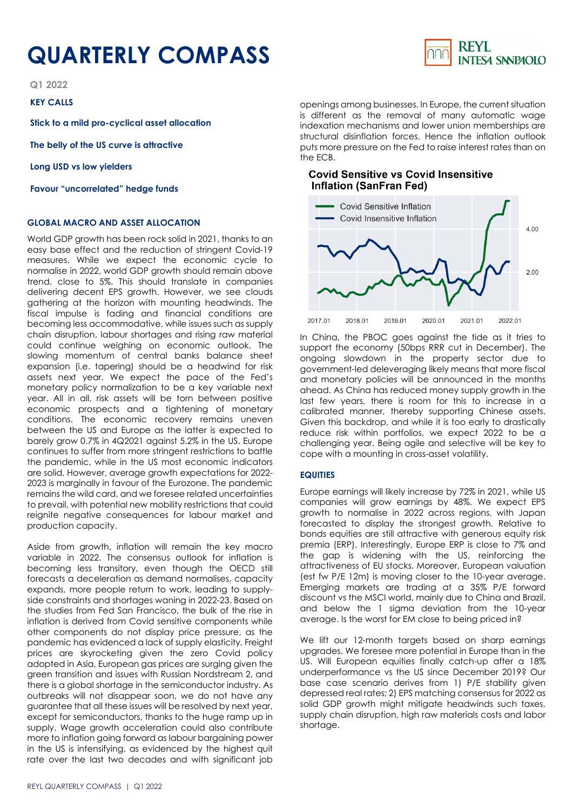# **QUARTERLY COMPASS**

**Q1 2022**

### **KEY CALLS**

**Stick to a mild pro-cyclical asset allocation**

**The belly of the US curve is attractive**

**Long USD vs low yielders**

**Favour "uncorrelated" hedge funds**

### **GLOBAL MACRO AND ASSET ALLOCATION**

World GDP growth has been rock solid in 2021, thanks to an easy base effect and the reduction of stringent Covid-19 measures. While we expect the economic cycle to normalise in 2022, world GDP growth should remain above trend, close to 5%. This should translate in companies delivering decent EPS growth. However, we see clouds gathering at the horizon with mounting headwinds. The fiscal impulse is fading and financial conditions are becoming less accommodative, while issues such as supply chain disruption, labour shortages and rising raw material could continue weighing on economic outlook. The slowing momentum of central banks balance sheet expansion (i.e. tapering) should be a headwind for risk assets next year. We expect the pace of the Fed's monetary policy normalization to be a key variable next year. All in all, risk assets will be torn between positive economic prospects and a tightening of monetary conditions. The economic recovery remains uneven between the US and Europe as the latter is expected to barely grow 0.7% in 4Q2021 against 5.2% in the US. Europe continues to suffer from more stringent restrictions to battle the pandemic, while in the US most economic indicators are solid. However, average growth expectations for 2022- 2023 is marginally in favour of the Eurozone. The pandemic remains the wild card, and we foresee related uncertainties to prevail, with potential new mobility restrictions that could reignite negative consequences for labour market and production capacity.

Aside from growth, inflation will remain the key macro variable in 2022. The consensus outlook for inflation is becoming less transitory, even though the OECD still forecasts a deceleration as demand normalises, capacity expands, more people return to work, leading to supplyside constraints and shortages waning in 2022-23. Based on the studies from Fed San Francisco, the bulk of the rise in inflation is derived from Covid sensitive components while other components do not display price pressure, as the pandemic has evidenced a lack of supply elasticity. Freight prices are skyrocketing given the zero Covid policy adopted in Asia, European gas prices are surging given the green transition and issues with Russian Nordstream 2, and there is a global shortage in the semiconductor industry. As outbreaks will not disappear soon, we do not have any guarantee that all these issues will be resolved by next year, except for semiconductors, thanks to the huge ramp up in supply. Wage growth acceleration could also contribute more to inflation going forward as labour bargaining power in the US is intensifying, as evidenced by the highest quit rate over the last two decades and with significant job

openings among businesses. In Europe, the current situation is different as the removal of many automatic wage indexation mechanisms and lower union memberships are structural disinflation forces. Hence the inflation outlook puts more pressure on the Fed to raise interest rates than on the ECB.

## **Covid Sensitive vs Covid Insensitive Inflation (SanFran Fed)**



In China, the PBOC goes against the tide as it tries to support the economy (50bps RRR cut in December). The ongoing slowdown in the property sector due to government-led deleveraging likely means that more fiscal and monetary policies will be announced in the months ahead. As China has reduced money supply growth in the last few years, there is room for this to increase in a calibrated manner, thereby supporting Chinese assets. Given this backdrop, and while it is too early to drastically reduce risk within portfolios, we expect 2022 to be a challenging year. Being agile and selective will be key to cope with a mounting in cross-asset volatility.

#### **EQUITIES**

Europe earnings will likely increase by 72% in 2021, while US companies will grow earnings by 48%. We expect EPS growth to normalise in 2022 across regions, with Japan forecasted to display the strongest growth. Relative to bonds equities are still attractive with generous equity risk premia (ERP). Interestingly, Europe ERP is close to 7% and the gap is widening with the US, reinforcing the attractiveness of EU stocks. Moreover, European valuation (est fw P/E 12m) is moving closer to the 10-year average. Emerging markets are trading at a 35% P/E forward discount vs the MSCI world, mainly due to China and Brazil, and below the 1 sigma deviation from the 10-year average. Is the worst for EM close to being priced in?

We lift our 12-month targets based on sharp earnings upgrades. We foresee more potential in Europe than in the US. Will European equities finally catch-up after a 18% underperformance vs the US since December 2019? Our base case scenario derives from 1) P/E stability given depressed real rates; 2) EPS matching consensus for 2022 as solid GDP growth might mitigate headwinds such taxes, supply chain disruption, high raw materials costs and labor shortage.

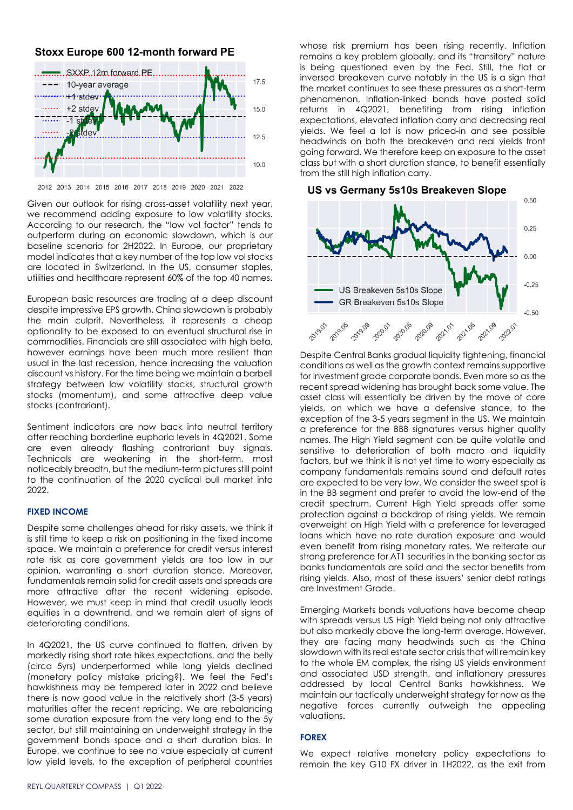# Stoxx Europe 600 12-month forward PE



2012 2013 2014 2015 2016 2017 2018 2019 2020 2021 2022

Given our outlook for rising cross-asset volatility next year, we recommend adding exposure to low volatility stocks. According to our research, the "low vol factor" tends to outperform during an economic slowdown, which is our baseline scenario for 2H2022. In Europe, our proprietary model indicates that a key number of the top low vol stocks are located in Switzerland. In the US, consumer staples, utilities and healthcare represent 60% of the top 40 names.

European basic resources are trading at a deep discount despite impressive EPS growth. China slowdown is probably the main culprit. Nevertheless, it represents a cheap optionality to be exposed to an eventual structural rise in commodities. Financials are still associated with high beta, however earnings have been much more resilient than usual in the last recession, hence increasing the valuation discount vs history. For the time being we maintain a barbell strategy between low volatility stocks, structural growth stocks (momentum), and some attractive deep value stocks (contrariant).

Sentiment indicators are now back into neutral territory after reaching borderline euphoria levels in 4Q2021. Some are even already flashing contrariant buy signals. Technicals are weakening in the short-term, most noticeably breadth, but the medium-term pictures still point to the continuation of the 2020 cyclical bull market into 2022.

#### **FIXED INCOME**

Despite some challenges ahead for risky assets, we think it is still time to keep a risk on positioning in the fixed income space. We maintain a preference for credit versus interest rate risk as core government yields are too low in our opinion, warranting a short duration stance. Moreover, fundamentals remain solid for credit assets and spreads are more attractive after the recent widening episode. However, we must keep in mind that credit usually leads equities in a downtrend, and we remain alert of signs of deteriorating conditions.

In 4Q2021, the US curve continued to flatten, driven by markedly rising short rate hikes expectations, and the belly (circa 5yrs) underperformed while long yields declined (monetary policy mistake pricing?). We feel the Fed's hawkishness may be tempered later in 2022 and believe there is now good value in the relatively short (3-5 years) maturities after the recent repricing. We are rebalancing some duration exposure from the very long end to the 5y sector, but still maintaining an underweight strategy in the government bonds space and a short duration bias. In Europe, we continue to see no value especially at current low yield levels, to the exception of peripheral countries

whose risk premium has been rising recently. Inflation remains a key problem globally, and its "transitory" nature is being questioned even by the Fed. Still, the flat or inversed breakeven curve notably in the US is a sign that the market continues to see these pressures as a short-term phenomenon. Inflation-linked bonds have posted solid returns in 4Q2021, benefiting from rising inflation expectations, elevated inflation carry and decreasing real yields. We feel a lot is now priced-in and see possible headwinds on both the breakeven and real yields front going forward. We therefore keep an exposure to the asset class but with a short duration stance, to benefit essentially from the still high inflation carry.



Despite Central Banks aradual liquidity tightening, financial conditions as well as the growth context remains supportive for investment grade corporate bonds. Even more so as the recent spread widening has brought back some value. The asset class will essentially be driven by the move of core yields, on which we have a defensive stance, to the exception of the 3-5 years segment in the US. We maintain a preference for the BBB signatures versus higher quality names. The High Yield segment can be quite volatile and sensitive to deterioration of both macro and liquidity factors, but we think it is not yet time to worry especially as company fundamentals remains sound and default rates are expected to be very low. We consider the sweet spot is in the BB segment and prefer to avoid the low-end of the credit spectrum. Current High Yield spreads offer some protection against a backdrop of rising yields. We remain overweight on High Yield with a preference for leveraged loans which have no rate duration exposure and would even benefit from rising monetary rates. We reiterate our strong preference for AT1 securities in the banking sector as banks fundamentals are solid and the sector benefits from rising yields. Also, most of these issuers' senior debt ratings are Investment Grade.

Emerging Markets bonds valuations have become cheap with spreads versus US High Yield being not only attractive but also markedly above the long-term average. However, they are facing many headwinds such as the China slowdown with its real estate sector crisis that will remain key to the whole EM complex, the rising US yields environment and associated USD strength, and inflationary pressures addressed by local Central Banks hawkishness. We maintain our tactically underweight strategy for now as the negative forces currently outweigh the appealing valuations.

#### **FOREX**

We expect relative monetary policy expectations to remain the key G10 FX driver in 1H2022, as the exit from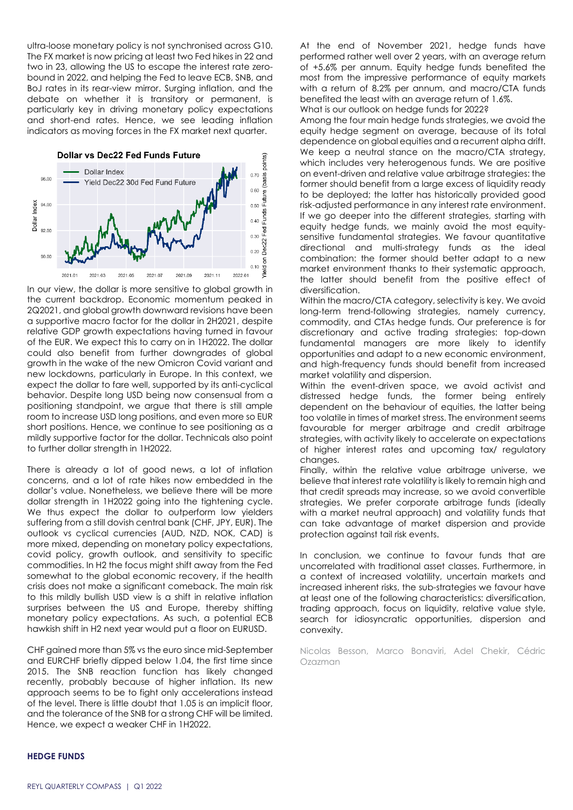ultra-loose monetary policy is not synchronised across G10. The FX market is now pricing at least two Fed hikes in 22 and two in 23, allowing the US to escape the interest rate zerobound in 2022, and helping the Fed to leave ECB, SNB, and BoJ rates in its rear-view mirror. Surging inflation, and the debate on whether it is transitory or permanent, is particularly key in driving monetary policy expectations and short-end rates. Hence, we see leading inflation indicators as moving forces in the FX market next quarter.



In our view, the dollar is more sensitive to global growth in the current backdrop. Economic momentum peaked in 2Q2021, and global growth downward revisions have been a supportive macro factor for the dollar in 2H2021, despite relative GDP growth expectations having turned in favour of the EUR. We expect this to carry on in 1H2022. The dollar could also benefit from further downgrades of global growth in the wake of the new Omicron Covid variant and new lockdowns, particularly in Europe. In this context, we expect the dollar to fare well, supported by its anti-cyclical behavior. Despite long USD being now consensual from a positioning standpoint, we argue that there is still ample room to increase USD long positions, and even more so EUR short positions. Hence, we continue to see positioning as a mildly supportive factor for the dollar. Technicals also point to further dollar strength in 1H2022.

There is already a lot of good news, a lot of inflation concerns, and a lot of rate hikes now embedded in the dollar's value. Nonetheless, we believe there will be more dollar strength in 1H2022 going into the tightening cycle. We thus expect the dollar to outperform low yielders suffering from a still dovish central bank (CHF, JPY, EUR). The outlook vs cyclical currencies (AUD, NZD, NOK, CAD) is more mixed, depending on monetary policy expectations, covid policy, growth outlook, and sensitivity to specific commodities. In H2 the focus might shift away from the Fed somewhat to the global economic recovery, if the health crisis does not make a significant comeback. The main risk to this mildly bullish USD view is a shift in relative inflation surprises between the US and Europe, thereby shifting monetary policy expectations. As such, a potential ECB hawkish shift in H2 next year would put a floor on EURUSD.

CHF gained more than 5% vs the euro since mid-September and EURCHF briefly dipped below 1.04, the first time since 2015. The SNB reaction function has likely changed recently, probably because of higher inflation. Its new approach seems to be to fight only accelerations instead of the level. There is little doubt that 1.05 is an implicit floor, and the tolerance of the SNB for a strong CHF will be limited. Hence, we expect a weaker CHF in 1H2022.

At the end of November 2021, hedge funds have performed rather well over 2 years, with an average return of +5.6% per annum. Equity hedge funds benefited the most from the impressive performance of equity markets with a return of 8.2% per annum, and macro/CTA funds benefited the least with an average return of 1.6%. What is our outlook on hedge funds for 2022?

Among the four main hedge funds strategies, we avoid the equity hedge segment on average, because of its total dependence on global equities and a recurrent alpha drift. We keep a neutral stance on the macro/CTA strategy, which includes very heterogenous funds. We are positive on event-driven and relative value arbitrage strategies: the former should benefit from a large excess of liquidity ready to be deployed; the latter has historically provided good risk-adjusted performance in any interest rate environment. If we go deeper into the different strategies, starting with equity hedge funds, we mainly avoid the most equitysensitive fundamental strategies. We favour quantitative directional and multi-strategy funds as the ideal combination: the former should better adapt to a new market environment thanks to their systematic approach, the latter should benefit from the positive effect of diversification.

Within the macro/CTA category, selectivity is key. We avoid long-term trend-following strategies, namely currency, commodity, and CTAs hedge funds. Our preference is for discretionary and active trading strategies: top-down fundamental managers are more likely to identify opportunities and adapt to a new economic environment, and high-frequency funds should benefit from increased market volatility and dispersion.

Within the event-driven space, we avoid activist and distressed hedge funds, the former being entirely dependent on the behaviour of equities, the latter being too volatile in times of market stress. The environment seems favourable for merger arbitrage and credit arbitrage strategies, with activity likely to accelerate on expectations of higher interest rates and upcoming tax/ regulatory changes.

Finally, within the relative value arbitrage universe, we believe that interest rate volatility is likely to remain high and that credit spreads may increase, so we avoid convertible strategies. We prefer corporate arbitrage funds (ideally with a market neutral approach) and volatility funds that can take advantage of market dispersion and provide protection against tail risk events.

In conclusion, we continue to favour funds that are uncorrelated with traditional asset classes. Furthermore, in a context of increased volatility, uncertain markets and increased inherent risks, the sub-strategies we favour have at least one of the following characteristics: diversification, trading approach, focus on liquidity, relative value style, search for idiosyncratic opportunities, dispersion and convexity.

Nicolas Besson, Marco Bonaviri, Adel Chekir, Cédric Ozazman

# **HEDGE FUNDS**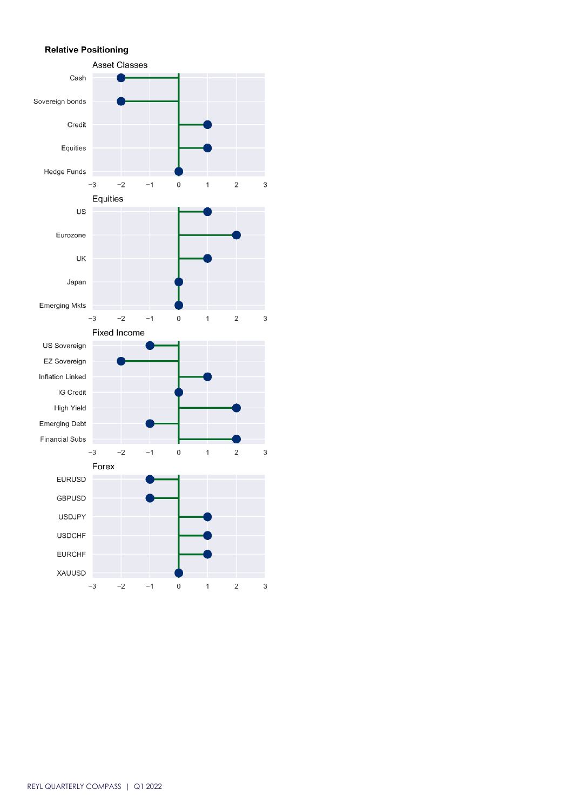## **Relative Positioning**